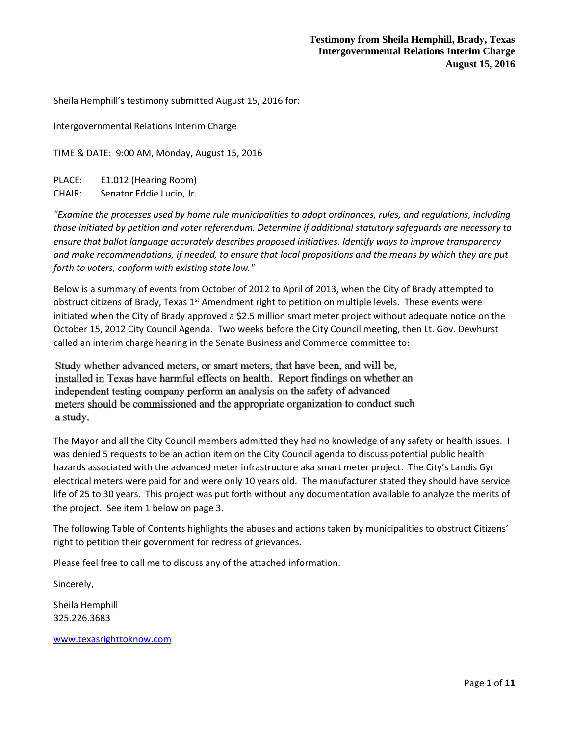Sheila Hemphill's testimony submitted August 15, 2016 for:

Intergovernmental Relations Interim Charge

TIME & DATE: 9:00 AM, Monday, August 15, 2016

PLACE: E1.012 (Hearing Room)

CHAIR: Senator Eddie Lucio, Jr.

*"Examine the processes used by home rule municipalities to adopt ordinances, rules, and regulations, including those initiated by petition and voter referendum. Determine if additional statutory safeguards are necessary to ensure that ballot language accurately describes proposed initiatives. Identify ways to improve transparency and make recommendations, if needed, to ensure that local propositions and the means by which they are put forth to voters, conform with existing state law."*

Below is a summary of events from October of 2012 to April of 2013, when the City of Brady attempted to obstruct citizens of Brady, Texas 1<sup>st</sup> Amendment right to petition on multiple levels. These events were initiated when the City of Brady approved a \$2.5 million smart meter project without adequate notice on the October 15, 2012 City Council Agenda. Two weeks before the City Council meeting, then Lt. Gov. Dewhurst called an interim charge hearing in the Senate Business and Commerce committee to:

Study whether advanced meters, or smart meters, that have been, and will be, installed in Texas have harmful effects on health. Report findings on whether an independent testing company perform an analysis on the safety of advanced meters should be commissioned and the appropriate organization to conduct such a study.

The Mayor and all the City Council members admitted they had no knowledge of any safety or health issues. I was denied 5 requests to be an action item on the City Council agenda to discuss potential public health hazards associated with the advanced meter infrastructure aka smart meter project. The City's Landis Gyr electrical meters were paid for and were only 10 years old. The manufacturer stated they should have service life of 25 to 30 years. This project was put forth without any documentation available to analyze the merits of the project. See item 1 below on page 3.

The following Table of Contents highlights the abuses and actions taken by municipalities to obstruct Citizens' right to petition their government for redress of grievances.

Please feel free to call me to discuss any of the attached information.

Sincerely,

Sheila Hemphill 325.226.3683

[www.texasrighttoknow.com](http://www.texasrighttoknow.com/)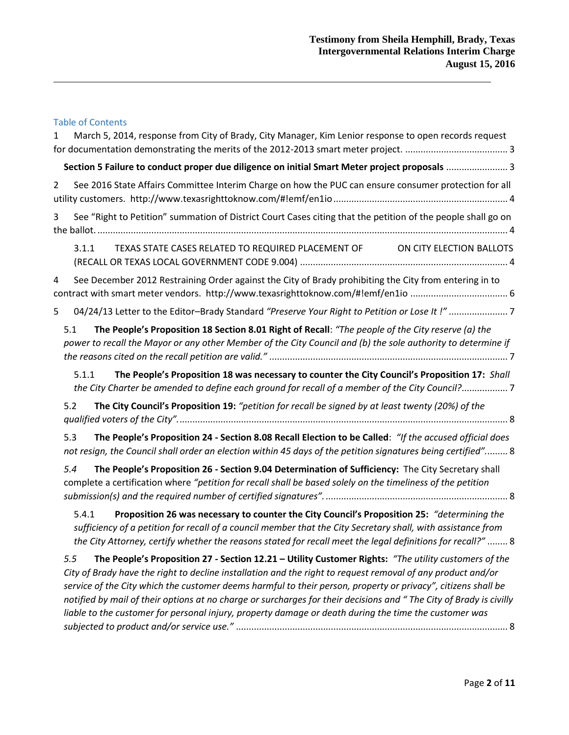# Table of Contents

| 1              | March 5, 2014, response from City of Brady, City Manager, Kim Lenior response to open records request                                                                                                                                                                                                                                                                                                                                                                                                                                                                      |
|----------------|----------------------------------------------------------------------------------------------------------------------------------------------------------------------------------------------------------------------------------------------------------------------------------------------------------------------------------------------------------------------------------------------------------------------------------------------------------------------------------------------------------------------------------------------------------------------------|
|                | Section 5 Failure to conduct proper due diligence on initial Smart Meter project proposals  3                                                                                                                                                                                                                                                                                                                                                                                                                                                                              |
| $\overline{2}$ | See 2016 State Affairs Committee Interim Charge on how the PUC can ensure consumer protection for all                                                                                                                                                                                                                                                                                                                                                                                                                                                                      |
| 3              | See "Right to Petition" summation of District Court Cases citing that the petition of the people shall go on                                                                                                                                                                                                                                                                                                                                                                                                                                                               |
|                | TEXAS STATE CASES RELATED TO REQUIRED PLACEMENT OF<br>3.1.1<br>ON CITY ELECTION BALLOTS                                                                                                                                                                                                                                                                                                                                                                                                                                                                                    |
| 4              | See December 2012 Restraining Order against the City of Brady prohibiting the City from entering in to                                                                                                                                                                                                                                                                                                                                                                                                                                                                     |
| 5              | 04/24/13 Letter to the Editor-Brady Standard "Preserve Your Right to Petition or Lose It !"7                                                                                                                                                                                                                                                                                                                                                                                                                                                                               |
|                | The People's Proposition 18 Section 8.01 Right of Recall: "The people of the City reserve (a) the<br>5.1<br>power to recall the Mayor or any other Member of the City Council and (b) the sole authority to determine if                                                                                                                                                                                                                                                                                                                                                   |
|                | The People's Proposition 18 was necessary to counter the City Council's Proposition 17: Shall<br>5.1.1<br>the City Charter be amended to define each ground for recall of a member of the City Council?7                                                                                                                                                                                                                                                                                                                                                                   |
|                | The City Council's Proposition 19: "petition for recall be signed by at least twenty (20%) of the<br>5.2                                                                                                                                                                                                                                                                                                                                                                                                                                                                   |
|                | The People's Proposition 24 - Section 8.08 Recall Election to be Called: "If the accused official does<br>5.3<br>not resign, the Council shall order an election within 45 days of the petition signatures being certified" 8                                                                                                                                                                                                                                                                                                                                              |
|                | The People's Proposition 26 - Section 9.04 Determination of Sufficiency: The City Secretary shall<br>5.4<br>complete a certification where "petition for recall shall be based solely on the timeliness of the petition                                                                                                                                                                                                                                                                                                                                                    |
|                | 5.4.1<br>Proposition 26 was necessary to counter the City Council's Proposition 25: "determining the<br>sufficiency of a petition for recall of a council member that the City Secretary shall, with assistance from<br>the City Attorney, certify whether the reasons stated for recall meet the legal definitions for recall?"  8                                                                                                                                                                                                                                        |
|                | The People's Proposition 27 - Section 12.21 - Utility Customer Rights: "The utility customers of the<br>5.5<br>City of Brady have the right to decline installation and the right to request removal of any product and/or<br>service of the City which the customer deems harmful to their person, property or privacy", citizens shall be<br>notified by mail of their options at no charge or surcharges for their decisions and "The City of Brady is civilly<br>liable to the customer for personal injury, property damage or death during the time the customer was |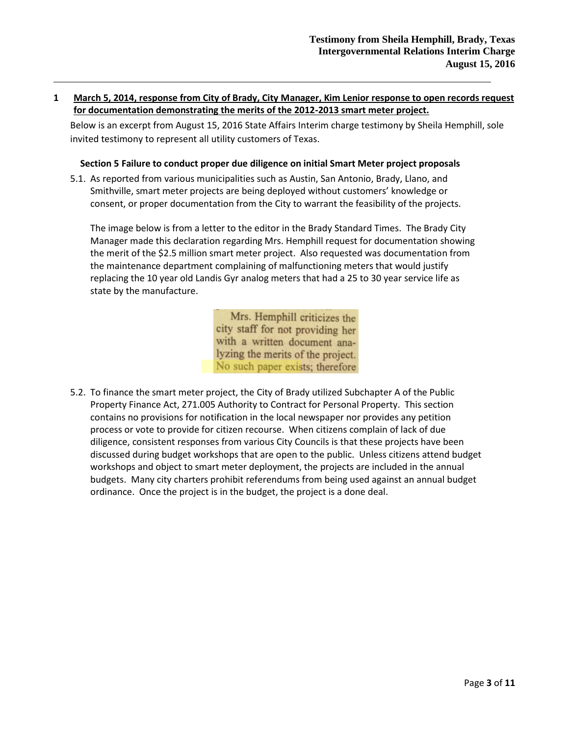## <span id="page-2-0"></span>**1 March 5, 2014, response from City of Brady, City Manager, Kim Lenior response to open records request for documentation demonstrating the merits of the 2012-2013 smart meter project.**

Below is an excerpt from August 15, 2016 State Affairs Interim charge testimony by Sheila Hemphill, sole invited testimony to represent all utility customers of Texas.

### **Section 5 Failure to conduct proper due diligence on initial Smart Meter project proposals**

<span id="page-2-1"></span>5.1. As reported from various municipalities such as Austin, San Antonio, Brady, Llano, and Smithville, smart meter projects are being deployed without customers' knowledge or consent, or proper documentation from the City to warrant the feasibility of the projects.

The image below is from a letter to the editor in the Brady Standard Times. The Brady City Manager made this declaration regarding Mrs. Hemphill request for documentation showing the merit of the \$2.5 million smart meter project. Also requested was documentation from the maintenance department complaining of malfunctioning meters that would justify replacing the 10 year old Landis Gyr analog meters that had a 25 to 30 year service life as state by the manufacture.

> Mrs. Hemphill criticizes the city staff for not providing her with a written document analyzing the merits of the project. No such paper exists; therefore

5.2. To finance the smart meter project, the City of Brady utilized Subchapter A of the Public Property Finance Act, 271.005 Authority to Contract for Personal Property. This section contains no provisions for notification in the local newspaper nor provides any petition process or vote to provide for citizen recourse. When citizens complain of lack of due diligence, consistent responses from various City Councils is that these projects have been discussed during budget workshops that are open to the public. Unless citizens attend budget workshops and object to smart meter deployment, the projects are included in the annual budgets. Many city charters prohibit referendums from being used against an annual budget ordinance. Once the project is in the budget, the project is a done deal.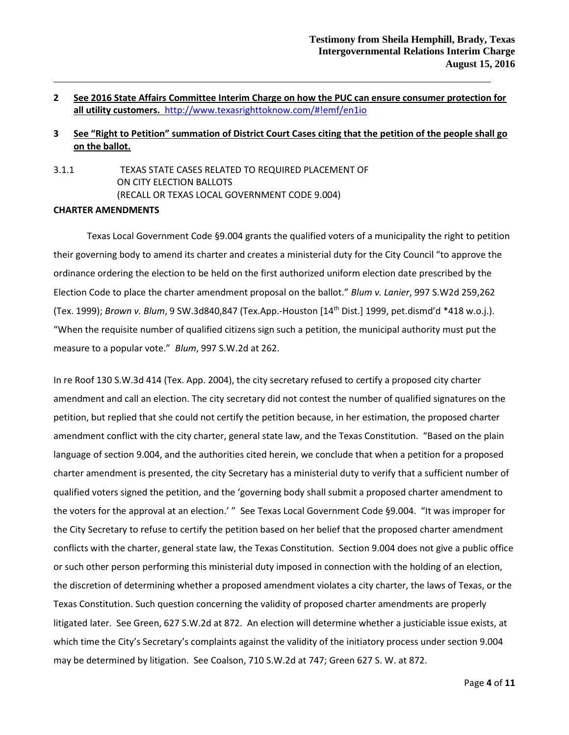# <span id="page-3-0"></span>**2 See 2016 State Affairs Committee Interim Charge on how the PUC can ensure consumer protection for all utility customers.** <http://www.texasrighttoknow.com/#!emf/en1io>

# <span id="page-3-1"></span>**3 See "Right to Petition" summation of District Court Cases citing that the petition of the people shall go on the ballot.**

<span id="page-3-2"></span>3.1.1 TEXAS STATE CASES RELATED TO REQUIRED PLACEMENT OF ON CITY ELECTION BALLOTS (RECALL OR TEXAS LOCAL GOVERNMENT CODE 9.004)

# **CHARTER AMENDMENTS**

Texas Local Government Code §9.004 grants the qualified voters of a municipality the right to petition their governing body to amend its charter and creates a ministerial duty for the City Council "to approve the ordinance ordering the election to be held on the first authorized uniform election date prescribed by the Election Code to place the charter amendment proposal on the ballot." *Blum v. Lanier*, 997 S.W2d 259,262 (Tex. 1999); *Brown v. Blum*, 9 SW.3d840,847 (Tex.App.-Houston [14th Dist.] 1999, pet.dismd'd \*418 w.o.j.). "When the requisite number of qualified citizens sign such a petition, the municipal authority must put the measure to a popular vote." *Blum*, 997 S.W.2d at 262.

In re Roof 130 S.W.3d 414 (Tex. App. 2004), the city secretary refused to certify a proposed city charter amendment and call an election. The city secretary did not contest the number of qualified signatures on the petition, but replied that she could not certify the petition because, in her estimation, the proposed charter amendment conflict with the city charter, general state law, and the Texas Constitution. "Based on the plain language of section 9.004, and the authorities cited herein, we conclude that when a petition for a proposed charter amendment is presented, the city Secretary has a ministerial duty to verify that a sufficient number of qualified voters signed the petition, and the 'governing body shall submit a proposed charter amendment to the voters for the approval at an election.' " See Texas Local Government Code §9.004. "It was improper for the City Secretary to refuse to certify the petition based on her belief that the proposed charter amendment conflicts with the charter, general state law, the Texas Constitution. Section 9.004 does not give a public office or such other person performing this ministerial duty imposed in connection with the holding of an election, the discretion of determining whether a proposed amendment violates a city charter, the laws of Texas, or the Texas Constitution. Such question concerning the validity of proposed charter amendments are properly litigated later. See Green, 627 S.W.2d at 872. An election will determine whether a justiciable issue exists, at which time the City's Secretary's complaints against the validity of the initiatory process under section 9.004 may be determined by litigation. See Coalson, 710 S.W.2d at 747; Green 627 S. W. at 872.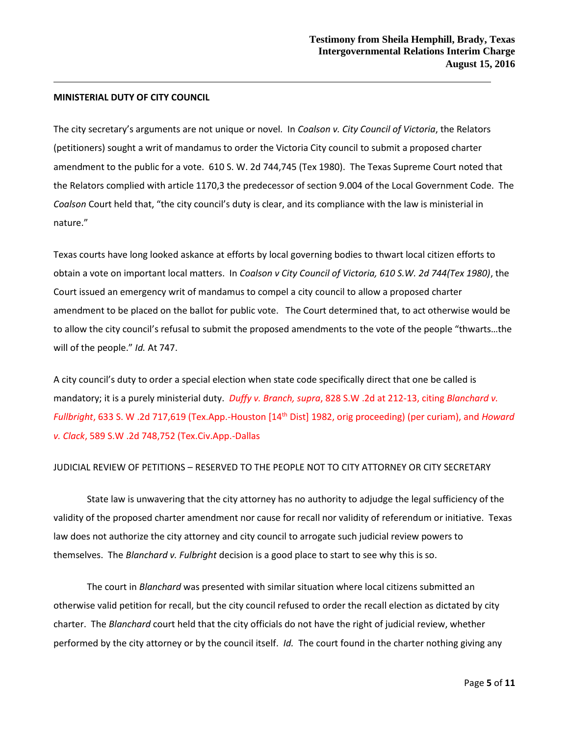### **MINISTERIAL DUTY OF CITY COUNCIL**

The city secretary's arguments are not unique or novel. In *Coalson v. City Council of Victoria*, the Relators (petitioners) sought a writ of mandamus to order the Victoria City council to submit a proposed charter amendment to the public for a vote. 610 S. W. 2d 744,745 (Tex 1980). The Texas Supreme Court noted that the Relators complied with article 1170,3 the predecessor of section 9.004 of the Local Government Code. The *Coalson* Court held that, "the city council's duty is clear, and its compliance with the law is ministerial in nature."

Texas courts have long looked askance at efforts by local governing bodies to thwart local citizen efforts to obtain a vote on important local matters. In *Coalson v City Council of Victoria, 610 S.W. 2d 744(Tex 1980)*, the Court issued an emergency writ of mandamus to compel a city council to allow a proposed charter amendment to be placed on the ballot for public vote. The Court determined that, to act otherwise would be to allow the city council's refusal to submit the proposed amendments to the vote of the people "thwarts…the will of the people." *Id.* At 747.

A city council's duty to order a special election when state code specifically direct that one be called is mandatory; it is a purely ministerial duty. *Duffy v. Branch, supra*, 828 S.W .2d at 212-13, citing *Blanchard v. Fullbright*, 633 S. W .2d 717,619 (Tex.App.-Houston [14th Dist] 1982, orig proceeding) (per curiam), and *Howard v. Clack*, 589 S.W .2d 748,752 (Tex.Civ.App.-Dallas

#### JUDICIAL REVIEW OF PETITIONS – RESERVED TO THE PEOPLE NOT TO CITY ATTORNEY OR CITY SECRETARY

State law is unwavering that the city attorney has no authority to adjudge the legal sufficiency of the validity of the proposed charter amendment nor cause for recall nor validity of referendum or initiative. Texas law does not authorize the city attorney and city council to arrogate such judicial review powers to themselves. The *Blanchard v. Fulbright* decision is a good place to start to see why this is so.

The court in *Blanchard* was presented with similar situation where local citizens submitted an otherwise valid petition for recall, but the city council refused to order the recall election as dictated by city charter. The *Blanchard* court held that the city officials do not have the right of judicial review, whether performed by the city attorney or by the council itself. *Id.* The court found in the charter nothing giving any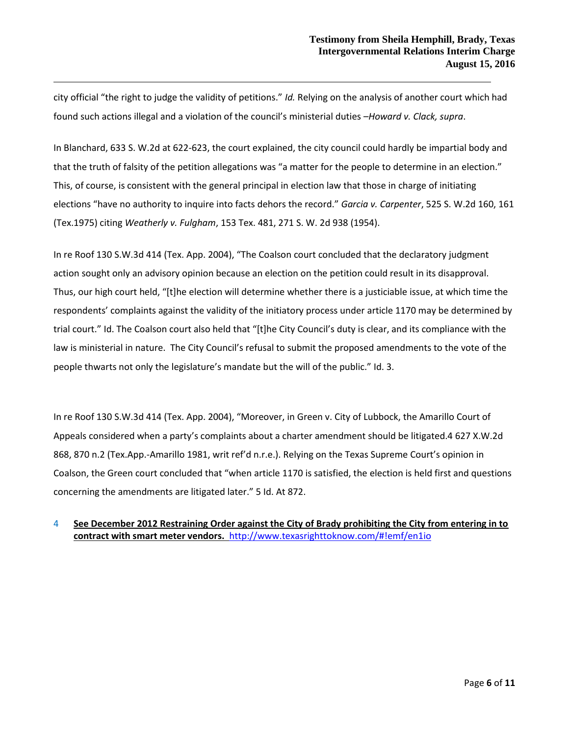city official "the right to judge the validity of petitions." *Id.* Relying on the analysis of another court which had found such actions illegal and a violation of the council's ministerial duties –*Howard v. Clack, supra*.

In Blanchard, 633 S. W.2d at 622-623, the court explained, the city council could hardly be impartial body and that the truth of falsity of the petition allegations was "a matter for the people to determine in an election." This, of course, is consistent with the general principal in election law that those in charge of initiating elections "have no authority to inquire into facts dehors the record." *Garcia v. Carpenter*, 525 S. W.2d 160, 161 (Tex.1975) citing *Weatherly v. Fulgham*, 153 Tex. 481, 271 S. W. 2d 938 (1954).

In re Roof 130 S.W.3d 414 (Tex. App. 2004), "The Coalson court concluded that the declaratory judgment action sought only an advisory opinion because an election on the petition could result in its disapproval. Thus, our high court held, "[t]he election will determine whether there is a justiciable issue, at which time the respondents' complaints against the validity of the initiatory process under article 1170 may be determined by trial court." Id. The Coalson court also held that "[t]he City Council's duty is clear, and its compliance with the law is ministerial in nature. The City Council's refusal to submit the proposed amendments to the vote of the people thwarts not only the legislature's mandate but the will of the public." Id. 3.

In re Roof 130 S.W.3d 414 (Tex. App. 2004), "Moreover, in Green v. City of Lubbock, the Amarillo Court of Appeals considered when a party's complaints about a charter amendment should be litigated.4 627 X.W.2d 868, 870 n.2 (Tex.App.-Amarillo 1981, writ ref'd n.r.e.). Relying on the Texas Supreme Court's opinion in Coalson, the Green court concluded that "when article 1170 is satisfied, the election is held first and questions concerning the amendments are litigated later." 5 Id. At 872.

# <span id="page-5-0"></span>4 **See December 2012 Restraining Order against the City of Brady prohibiting the City from entering in to contract with smart meter vendors.** <http://www.texasrighttoknow.com/#!emf/en1io>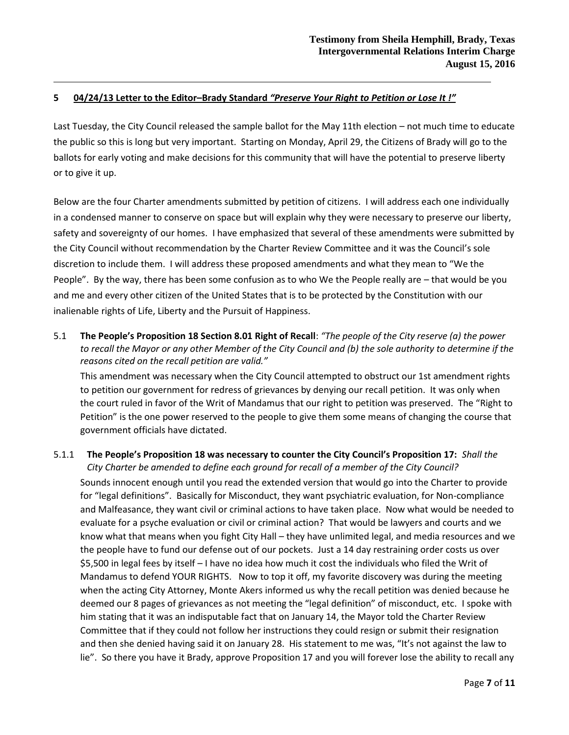# <span id="page-6-0"></span>**5 04/24/13 Letter to the Editor–Brady Standard** *"Preserve Your Right to Petition or Lose It !"*

Last Tuesday, the City Council released the sample ballot for the May 11th election – not much time to educate the public so this is long but very important. Starting on Monday, April 29, the Citizens of Brady will go to the ballots for early voting and make decisions for this community that will have the potential to preserve liberty or to give it up.

Below are the four Charter amendments submitted by petition of citizens. I will address each one individually in a condensed manner to conserve on space but will explain why they were necessary to preserve our liberty, safety and sovereignty of our homes. I have emphasized that several of these amendments were submitted by the City Council without recommendation by the Charter Review Committee and it was the Council's sole discretion to include them. I will address these proposed amendments and what they mean to "We the People". By the way, there has been some confusion as to who We the People really are – that would be you and me and every other citizen of the United States that is to be protected by the Constitution with our inalienable rights of Life, Liberty and the Pursuit of Happiness.

<span id="page-6-1"></span>5.1 **The People's Proposition 18 Section 8.01 Right of Recall**: *"The people of the City reserve (a) the power to recall the Mayor or any other Member of the City Council and (b) the sole authority to determine if the reasons cited on the recall petition are valid."*

This amendment was necessary when the City Council attempted to obstruct our 1st amendment rights to petition our government for redress of grievances by denying our recall petition. It was only when the court ruled in favor of the Writ of Mandamus that our right to petition was preserved. The "Right to Petition" is the one power reserved to the people to give them some means of changing the course that government officials have dictated.

# <span id="page-6-2"></span>5.1.1 **The People's Proposition 18 was necessary to counter the City Council's Proposition 17:** *Shall the City Charter be amended to define each ground for recall of a member of the City Council?* Sounds innocent enough until you read the extended version that would go into the Charter to provide for "legal definitions". Basically for Misconduct, they want psychiatric evaluation, for Non-compliance and Malfeasance, they want civil or criminal actions to have taken place. Now what would be needed to evaluate for a psyche evaluation or civil or criminal action? That would be lawyers and courts and we know what that means when you fight City Hall – they have unlimited legal, and media resources and we the people have to fund our defense out of our pockets. Just a 14 day restraining order costs us over \$5,500 in legal fees by itself – I have no idea how much it cost the individuals who filed the Writ of Mandamus to defend YOUR RIGHTS. Now to top it off, my favorite discovery was during the meeting when the acting City Attorney, Monte Akers informed us why the recall petition was denied because he deemed our 8 pages of grievances as not meeting the "legal definition" of misconduct, etc. I spoke with him stating that it was an indisputable fact that on January 14, the Mayor told the Charter Review Committee that if they could not follow her instructions they could resign or submit their resignation and then she denied having said it on January 28. His statement to me was, "It's not against the law to lie". So there you have it Brady, approve Proposition 17 and you will forever lose the ability to recall any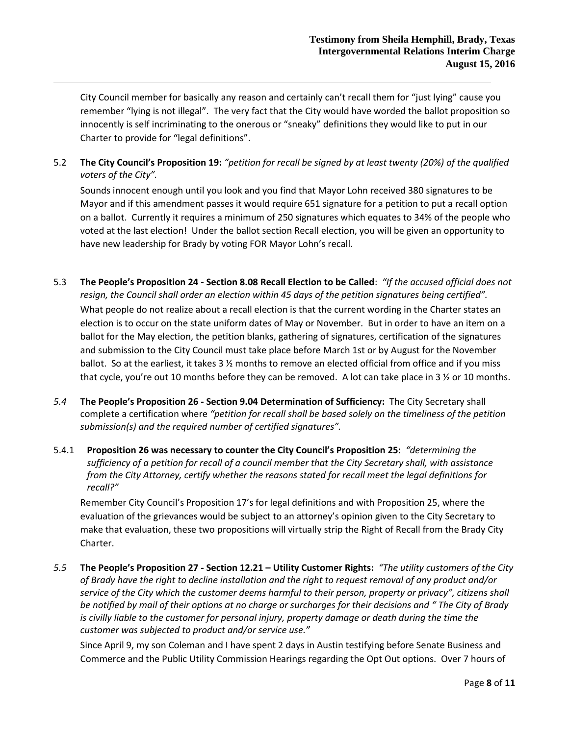City Council member for basically any reason and certainly can't recall them for "just lying" cause you remember "lying is not illegal". The very fact that the City would have worded the ballot proposition so innocently is self incriminating to the onerous or "sneaky" definitions they would like to put in our Charter to provide for "legal definitions".

<span id="page-7-0"></span>5.2 **The City Council's Proposition 19:** *"petition for recall be signed by at least twenty (20%) of the qualified voters of the City".*

Sounds innocent enough until you look and you find that Mayor Lohn received 380 signatures to be Mayor and if this amendment passes it would require 651 signature for a petition to put a recall option on a ballot. Currently it requires a minimum of 250 signatures which equates to 34% of the people who voted at the last election! Under the ballot section Recall election, you will be given an opportunity to have new leadership for Brady by voting FOR Mayor Lohn's recall.

- <span id="page-7-1"></span>5.3 **The People's Proposition 24 - Section 8.08 Recall Election to be Called**: *"If the accused official does not resign, the Council shall order an election within 45 days of the petition signatures being certified".* What people do not realize about a recall election is that the current wording in the Charter states an election is to occur on the state uniform dates of May or November. But in order to have an item on a ballot for the May election, the petition blanks, gathering of signatures, certification of the signatures and submission to the City Council must take place before March 1st or by August for the November ballot. So at the earliest, it takes 3 % months to remove an elected official from office and if you miss that cycle, you're out 10 months before they can be removed. A lot can take place in 3 % or 10 months.
- <span id="page-7-2"></span>*5.4* **The People's Proposition 26 - Section 9.04 Determination of Sufficiency:** The City Secretary shall complete a certification where *"petition for recall shall be based solely on the timeliness of the petition submission(s) and the required number of certified signatures".*
- <span id="page-7-3"></span>5.4.1 **Proposition 26 was necessary to counter the City Council's Proposition 25:** *"determining the sufficiency of a petition for recall of a council member that the City Secretary shall, with assistance from the City Attorney, certify whether the reasons stated for recall meet the legal definitions for recall?"*

Remember City Council's Proposition 17's for legal definitions and with Proposition 25, where the evaluation of the grievances would be subject to an attorney's opinion given to the City Secretary to make that evaluation, these two propositions will virtually strip the Right of Recall from the Brady City Charter.

<span id="page-7-4"></span>*5.5* **The People's Proposition 27 - Section 12.21 – Utility Customer Rights:** *"The utility customers of the City of Brady have the right to decline installation and the right to request removal of any product and/or service of the City which the customer deems harmful to their person, property or privacy", citizens shall be notified by mail of their options at no charge or surcharges for their decisions and " The City of Brady is civilly liable to the customer for personal injury, property damage or death during the time the customer was subjected to product and/or service use."*

Since April 9, my son Coleman and I have spent 2 days in Austin testifying before Senate Business and Commerce and the Public Utility Commission Hearings regarding the Opt Out options. Over 7 hours of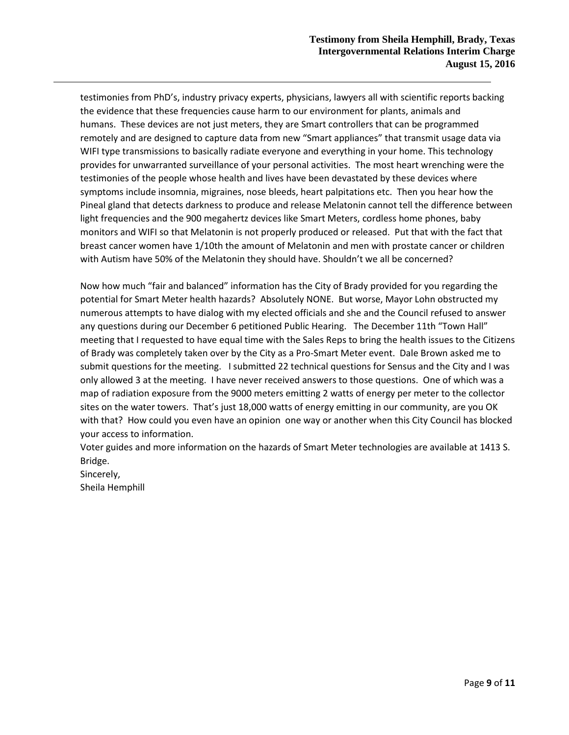testimonies from PhD's, industry privacy experts, physicians, lawyers all with scientific reports backing the evidence that these frequencies cause harm to our environment for plants, animals and humans. These devices are not just meters, they are Smart controllers that can be programmed remotely and are designed to capture data from new "Smart appliances" that transmit usage data via WIFI type transmissions to basically radiate everyone and everything in your home. This technology provides for unwarranted surveillance of your personal activities. The most heart wrenching were the testimonies of the people whose health and lives have been devastated by these devices where symptoms include insomnia, migraines, nose bleeds, heart palpitations etc. Then you hear how the Pineal gland that detects darkness to produce and release Melatonin cannot tell the difference between light frequencies and the 900 megahertz devices like Smart Meters, cordless home phones, baby monitors and WIFI so that Melatonin is not properly produced or released. Put that with the fact that breast cancer women have 1/10th the amount of Melatonin and men with prostate cancer or children with Autism have 50% of the Melatonin they should have. Shouldn't we all be concerned?

Now how much "fair and balanced" information has the City of Brady provided for you regarding the potential for Smart Meter health hazards? Absolutely NONE. But worse, Mayor Lohn obstructed my numerous attempts to have dialog with my elected officials and she and the Council refused to answer any questions during our December 6 petitioned Public Hearing. The December 11th "Town Hall" meeting that I requested to have equal time with the Sales Reps to bring the health issues to the Citizens of Brady was completely taken over by the City as a Pro-Smart Meter event. Dale Brown asked me to submit questions for the meeting. I submitted 22 technical questions for Sensus and the City and I was only allowed 3 at the meeting. I have never received answers to those questions. One of which was a map of radiation exposure from the 9000 meters emitting 2 watts of energy per meter to the collector sites on the water towers. That's just 18,000 watts of energy emitting in our community, are you OK with that? How could you even have an opinion one way or another when this City Council has blocked your access to information.

Voter guides and more information on the hazards of Smart Meter technologies are available at 1413 S. Bridge.

Sincerely, Sheila Hemphill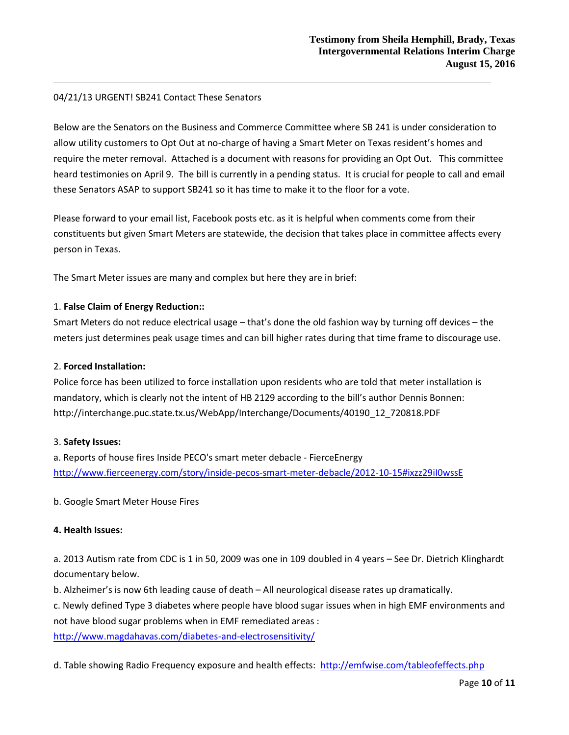## 04/21/13 URGENT! SB241 Contact These Senators

Below are the Senators on the Business and Commerce Committee where SB 241 is under consideration to allow utility customers to Opt Out at no-charge of having a Smart Meter on Texas resident's homes and require the meter removal. Attached is a document with reasons for providing an Opt Out. This committee heard testimonies on April 9. The bill is currently in a pending status. It is crucial for people to call and email these Senators ASAP to support SB241 so it has time to make it to the floor for a vote.

Please forward to your email list, Facebook posts etc. as it is helpful when comments come from their constituents but given Smart Meters are statewide, the decision that takes place in committee affects every person in Texas.

The Smart Meter issues are many and complex but here they are in brief:

## 1. **False Claim of Energy Reduction::**

Smart Meters do not reduce electrical usage – that's done the old fashion way by turning off devices – the meters just determines peak usage times and can bill higher rates during that time frame to discourage use.

## 2. **Forced Installation:**

Police force has been utilized to force installation upon residents who are told that meter installation is mandatory, which is clearly not the intent of HB 2129 according to the bill's author Dennis Bonnen: http://interchange.puc.state.tx.us/WebApp/Interchange/Documents/40190\_12\_720818.PDF

## 3. **Safety Issues:**

a. Reports of house fires Inside PECO's smart meter debacle - FierceEnergy <http://www.fierceenergy.com/story/inside-pecos-smart-meter-debacle/2012-10-15#ixzz29iI0wssE>

b. Google Smart Meter House Fires

## **4. Health Issues:**

a. 2013 Autism rate from CDC is 1 in 50, 2009 was one in 109 doubled in 4 years – See Dr. Dietrich Klinghardt documentary below.

b. Alzheimer's is now 6th leading cause of death – All neurological disease rates up dramatically.

c. Newly defined Type 3 diabetes where people have blood sugar issues when in high EMF environments and not have blood sugar problems when in EMF remediated areas :

<http://www.magdahavas.com/diabetes-and-electrosensitivity/>

d. Table showing Radio Frequency exposure and health effects: <http://emfwise.com/tableofeffects.php>